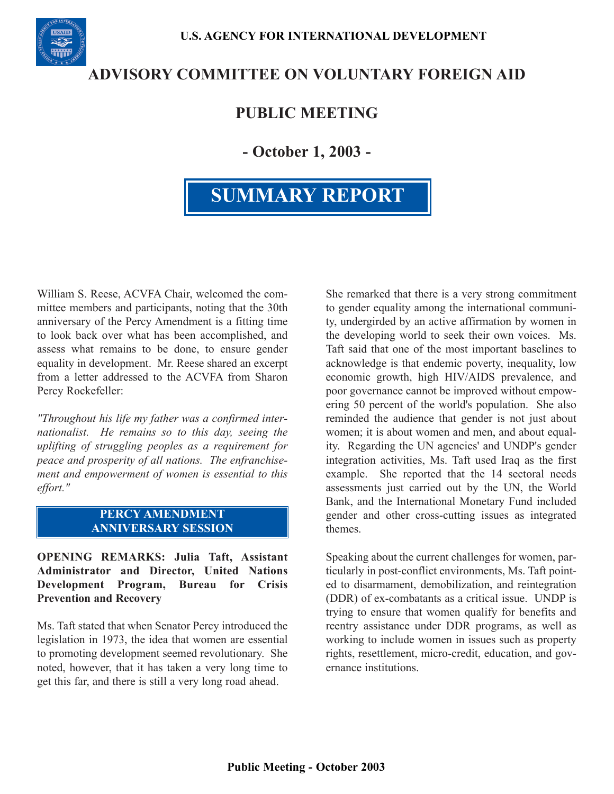

# **ADVISORY COMMITTEE ON VOLUNTARY FOREIGN AID**

# **PUBLIC MEETING**

**- October 1, 2003 -**

# **SUMMARY REPORT**

William S. Reese, ACVFA Chair, welcomed the committee members and participants, noting that the 30th anniversary of the Percy Amendment is a fitting time to look back over what has been accomplished, and assess what remains to be done, to ensure gender equality in development. Mr. Reese shared an excerpt from a letter addressed to the ACVFA from Sharon Percy Rockefeller:

*"Throughout his life my father was a confirmed internationalist. He remains so to this day, seeing the uplifting of struggling peoples as a requirement for peace and prosperity of all nations. The enfranchisement and empowerment of women is essential to this effort."* 

#### **PERCY AMENDMENT ANNIVERSARY SESSION**

**OPENING REMARKS: Julia Taft, Assistant Administrator and Director, United Nations Development Program, Bureau for Crisis Prevention and Recovery** 

Ms. Taft stated that when Senator Percy introduced the legislation in 1973, the idea that women are essential to promoting development seemed revolutionary. She noted, however, that it has taken a very long time to get this far, and there is still a very long road ahead.

She remarked that there is a very strong commitment to gender equality among the international community, undergirded by an active affirmation by women in the developing world to seek their own voices. Ms. Taft said that one of the most important baselines to acknowledge is that endemic poverty, inequality, low economic growth, high HIV/AIDS prevalence, and poor governance cannot be improved without empowering 50 percent of the world's population. She also reminded the audience that gender is not just about women; it is about women and men, and about equality. Regarding the UN agencies' and UNDP's gender integration activities, Ms. Taft used Iraq as the first example. She reported that the 14 sectoral needs assessments just carried out by the UN, the World Bank, and the International Monetary Fund included gender and other cross-cutting issues as integrated themes.

Speaking about the current challenges for women, particularly in post-conflict environments, Ms. Taft pointed to disarmament, demobilization, and reintegration (DDR) of ex-combatants as a critical issue. UNDP is trying to ensure that women qualify for benefits and reentry assistance under DDR programs, as well as working to include women in issues such as property rights, resettlement, micro-credit, education, and governance institutions.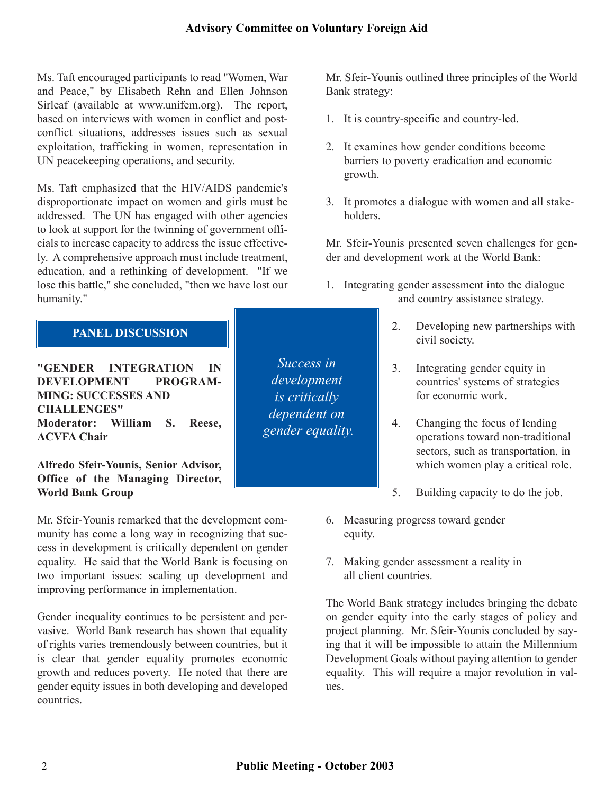Ms. Taft encouraged participants to read "Women, War and Peace," by Elisabeth Rehn and Ellen Johnson Sirleaf (available at www.unifem.org). The report, based on interviews with women in conflict and postconflict situations, addresses issues such as sexual exploitation, trafficking in women, representation in UN peacekeeping operations, and security.

Ms. Taft emphasized that the HIV/AIDS pandemic's disproportionate impact on women and girls must be addressed. The UN has engaged with other agencies to look at support for the twinning of government officials to increase capacity to address the issue effectively. A comprehensive approach must include treatment, education, and a rethinking of development. "If we lose this battle," she concluded, "then we have lost our humanity."

### **PANEL DISCUSSION**

**"GENDER INTEGRATION IN DEVELOPMENT PROGRAM-MING: SUCCESSES AND CHALLENGES" Moderator: William S. Reese, ACVFA Chair**

**Alfredo Sfeir-Younis, Senior Advisor, Office of the Managing Director, World Bank Group** 

Mr. Sfeir-Younis remarked that the development community has come a long way in recognizing that success in development is critically dependent on gender equality. He said that the World Bank is focusing on two important issues: scaling up development and improving performance in implementation.

Gender inequality continues to be persistent and pervasive. World Bank research has shown that equality of rights varies tremendously between countries, but it is clear that gender equality promotes economic growth and reduces poverty. He noted that there are gender equity issues in both developing and developed countries.

*Success in development is critically dependent on gender equality.* 

Mr. Sfeir-Younis outlined three principles of the World Bank strategy:

- 1. It is country-specific and country-led.
- 2. It examines how gender conditions become barriers to poverty eradication and economic growth.
- 3. It promotes a dialogue with women and all stakeholders.

Mr. Sfeir-Younis presented seven challenges for gender and development work at the World Bank:

- 1. Integrating gender assessment into the dialogue and country assistance strategy.
	- 2. Developing new partnerships with civil society.
	- 3. Integrating gender equity in countries' systems of strategies for economic work.
	- 4. Changing the focus of lending operations toward non-traditional sectors, such as transportation, in which women play a critical role.
	- 5. Building capacity to do the job.
- 6. Measuring progress toward gender equity.
- 7. Making gender assessment a reality in all client countries.

The World Bank strategy includes bringing the debate on gender equity into the early stages of policy and project planning. Mr. Sfeir-Younis concluded by saying that it will be impossible to attain the Millennium Development Goals without paying attention to gender equality. This will require a major revolution in values.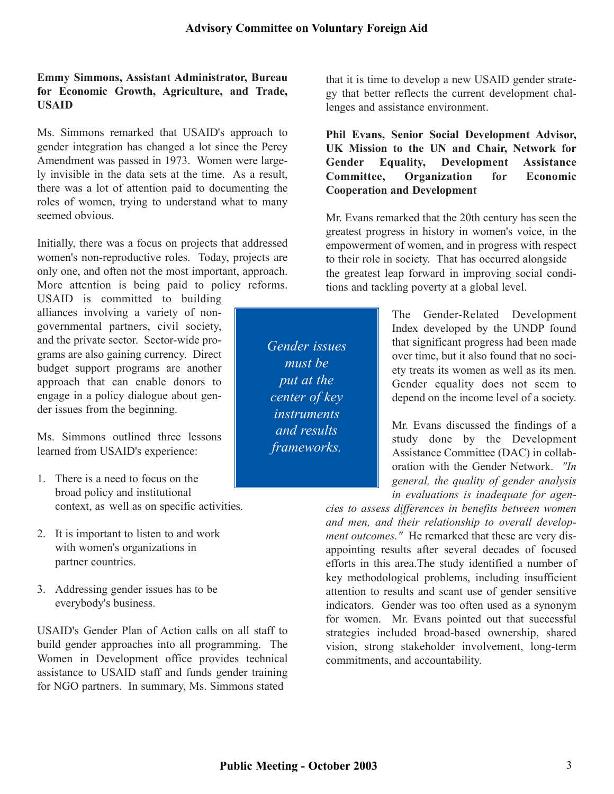#### **Emmy Simmons, Assistant Administrator, Bureau for Economic Growth, Agriculture, and Trade, USAID**

Ms. Simmons remarked that USAID's approach to gender integration has changed a lot since the Percy Amendment was passed in 1973. Women were largely invisible in the data sets at the time. As a result, there was a lot of attention paid to documenting the roles of women, trying to understand what to many seemed obvious.

Initially, there was a focus on projects that addressed women's non-reproductive roles. Today, projects are only one, and often not the most important, approach. More attention is being paid to policy reforms.

USAID is committed to building alliances involving a variety of non-<br>governmental partners, civil society, der issues from the beginning.

- 1. There is a need to focus on the **general, the quality of general** analysis broad policy and institutional context, as well as on specific activities.
- 2. It is important to listen to and work with women's organizations in partner countries.
- 3. Addressing gender issues has to be everybody's business.

USAID's Gender Plan of Action calls on all staff to build gender approaches into all programming. The Women in Development office provides technical assistance to USAID staff and funds gender training for NGO partners. In summary, Ms. Simmons stated

that it is time to develop a new USAID gender strategy that better reflects the current development challenges and assistance environment.

#### **Phil Evans, Senior Social Development Advisor, UK Mission to the UN and Chair, Network for Gender Equality, Development Assistance Committee, Organization for Economic Cooperation and Development**

Mr. Evans remarked that the 20th century has seen the greatest progress in history in women's voice, in the empowerment of women, and in progress with respect to their role in society. That has occurred alongside the greatest leap forward in improving social conditions and tackling poverty at a global level.

governmental partners, civil society,<br>and the private sector. Sector-wide pro-<br>constant process and head that significant progress had been made and the private sector. Sector-wide pro-<br>grams are also gaining currency. Direct **that significant** progress had been made<br>over time but it also found that no socigrams are also gaining currency. Direct but it also found that no soci-<br>budget support programs are another must be  $\begin{array}{|l|l|}\n\hline\n\text{wst} & \text{over time, but it also found that no soci-  
etv treats its women as well as its men\n\end{array}$ budget support programs are another ety treats its women as well as its men. approach that can enable donors to **get that the** Gender equality does not seem to engage in a policy dialogue about gen-<br>center of key denend on the income level of a society depend on the income level of a society.

Mr. Evans discussed the findings of a Ms. Simmons outlined three lessons and the study done by the Development learned from USAID's experience: Assistance Committee (DAC) in collaboration with the Gender Network. *"In in evaluations is inadequate for agen-*

*cies to assess differences in benefits between women and men, and their relationship to overall development outcomes."* He remarked that these are very disappointing results after several decades of focused efforts in this area.The study identified a number of key methodological problems, including insufficient attention to results and scant use of gender sensitive indicators. Gender was too often used as a synonym for women. Mr. Evans pointed out that successful strategies included broad-based ownership, shared vision, strong stakeholder involvement, long-term commitments, and accountability.

*Gender issues must be put at the center of key instruments and results frameworks.*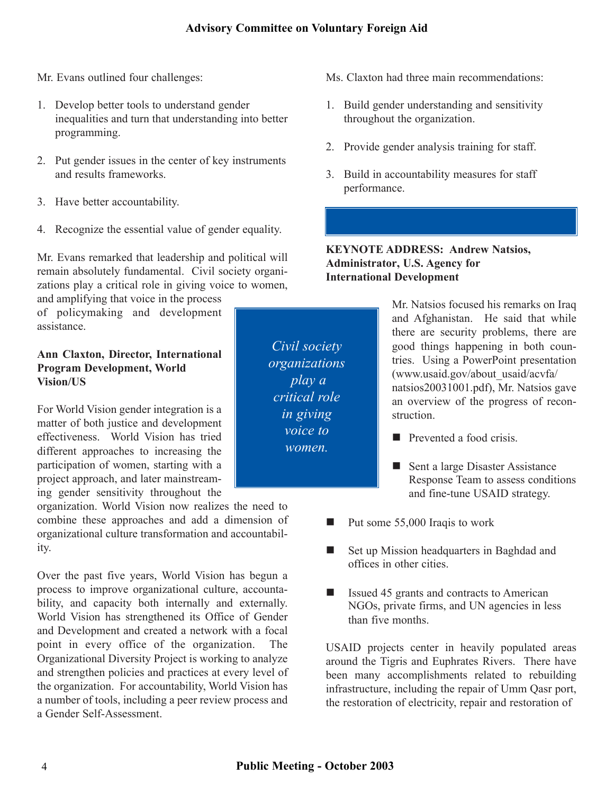Mr. Evans outlined four challenges:

- 1. Develop better tools to understand gender inequalities and turn that understanding into better programming.
- 2. Put gender issues in the center of key instruments and results frameworks.
- 3. Have better accountability.
- 4. Recognize the essential value of gender equality.

Mr. Evans remarked that leadership and political will remain absolutely fundamental. Civil society organizations play a critical role in giving voice to women,

and amplifying that voice in the process

effectiveness. World Vision has tried Prevented a food crisis. different approaches to increasing the participation of women, starting with a project approach, and later mainstream-<br>
Response Team to assess condition ing gender sensitivity throughout the

organization. World Vision now realizes the need to combine these approaches and add a dimension of organizational culture transformation and accountability.

Over the past five years, World Vision has begun a process to improve organizational culture, accountability, and capacity both internally and externally. World Vision has strengthened its Office of Gender and Development and created a network with a focal point in every office of the organization. The Organizational Diversity Project is working to analyze and strengthen policies and practices at every level of the organization. For accountability, World Vision has a number of tools, including a peer review process and a Gender Self-Assessment.

*Civil society organizations play a critical role in giving voice to women.* 

- Ms. Claxton had three main recommendations:
- 1. Build gender understanding and sensitivity throughout the organization.
- 2. Provide gender analysis training for staff.
- 3. Build in accountability measures for staff performance.

#### **KEYNOTE ADDRESS: Andrew Natsios, Administrator, U.S. Agency for International Development**

and amphrying that voice in the process<br>of policymaking and development assistance.<br>assistance. **Ann Claxton, Director, International**<br> **Program Development, World**<br> **Program Development, World**<br> **Program Development, World**<br> **Program Development, World**<br> **Program Development, World**<br> **Program Development, World**<br> **P** For World Vision gender integration is a structure of both justice and development in the struction.

- 
- Response Team to assess conditions and fine-tune USAID strategy.
- $\blacksquare$  Put some 55,000 Iraqis to work
- Set up Mission headquarters in Baghdad and offices in other cities.
- $\blacksquare$  Issued 45 grants and contracts to American NGOs, private firms, and UN agencies in less than five months.

USAID projects center in heavily populated areas around the Tigris and Euphrates Rivers. There have been many accomplishments related to rebuilding infrastructure, including the repair of Umm Qasr port, the restoration of electricity, repair and restoration of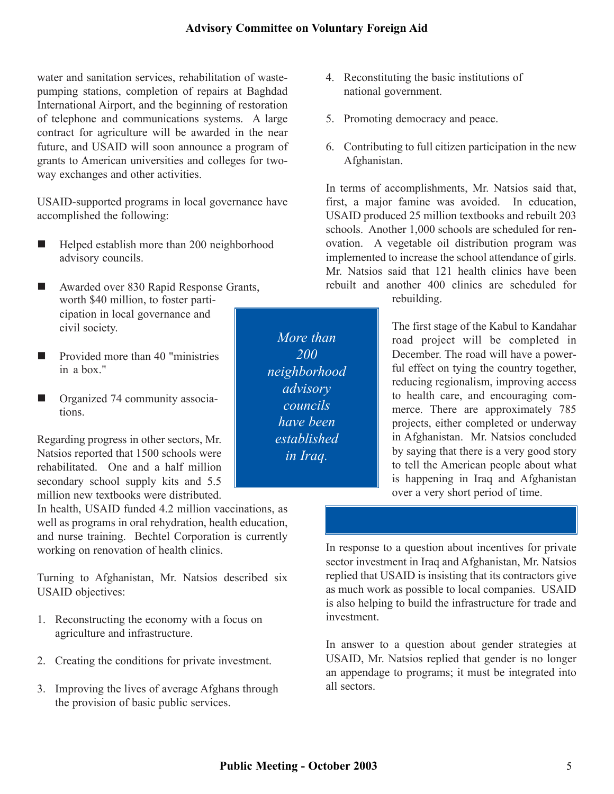water and sanitation services, rehabilitation of wastepumping stations, completion of repairs at Baghdad International Airport, and the beginning of restoration of telephone and communications systems. A large contract for agriculture will be awarded in the near future, and USAID will soon announce a program of grants to American universities and colleges for twoway exchanges and other activities.

USAID-supported programs in local governance have accomplished the following:

- $\blacksquare$  Helped establish more than 200 neighborhood advisory councils.
- Awarded over 830 Rapid Response Grants, worth \$40 million, to foster participation in local governance and civil society.
- $\blacksquare$  Provided more than 40 "ministries in a box."
- Organized 74 community associations.

Regarding progress in other sectors, Mr. Natsios reported that 1500 schools were rehabilitated. One and a half million secondary school supply kits and 5.5 million new textbooks were distributed.

In health, USAID funded 4.2 million vaccinations, as well as programs in oral rehydration, health education, and nurse training. Bechtel Corporation is currently working on renovation of health clinics.

Turning to Afghanistan, Mr. Natsios described six USAID objectives:

- 1. Reconstructing the economy with a focus on agriculture and infrastructure.
- 2. Creating the conditions for private investment.
- 3. Improving the lives of average Afghans through the provision of basic public services.
- 4. Reconstituting the basic institutions of national government.
- 5. Promoting democracy and peace.
- 6. Contributing to full citizen participation in the new Afghanistan.

In terms of accomplishments, Mr. Natsios said that, first, a major famine was avoided. In education, USAID produced 25 million textbooks and rebuilt 203 schools. Another 1,000 schools are scheduled for renovation. A vegetable oil distribution program was implemented to increase the school attendance of girls. Mr. Natsios said that 121 health clinics have been rebuilt and another 400 clinics are scheduled for rebuilding.

> The first stage of the Kabul to Kandahar road project will be completed in December. The road will have a powerful effect on tying the country together, reducing regionalism, improving access to health care, and encouraging commerce. There are approximately 785 projects, either completed or underway in Afghanistan. Mr. Natsios concluded by saying that there is a very good story to tell the American people about what is happening in Iraq and Afghanistan over a very short period of time.

In response to a question about incentives for private sector investment in Iraq and Afghanistan, Mr. Natsios replied that USAID is insisting that its contractors give as much work as possible to local companies. USAID is also helping to build the infrastructure for trade and investment.

In answer to a question about gender strategies at USAID, Mr. Natsios replied that gender is no longer an appendage to programs; it must be integrated into all sectors.

*More than 200 neighborhood advisory councils have been established in Iraq.*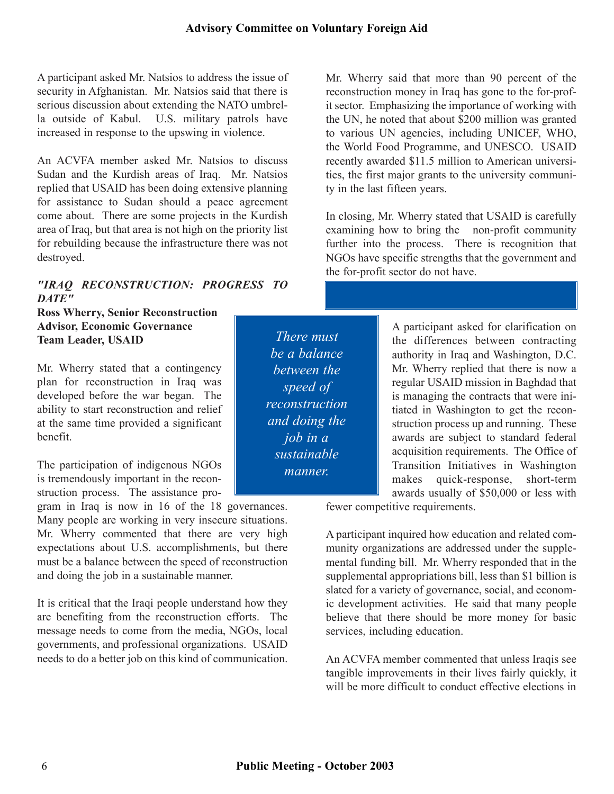A participant asked Mr. Natsios to address the issue of security in Afghanistan. Mr. Natsios said that there is serious discussion about extending the NATO umbrella outside of Kabul. U.S. military patrols have increased in response to the upswing in violence.

An ACVFA member asked Mr. Natsios to discuss Sudan and the Kurdish areas of Iraq. Mr. Natsios replied that USAID has been doing extensive planning for assistance to Sudan should a peace agreement come about. There are some projects in the Kurdish area of Iraq, but that area is not high on the priority list for rebuilding because the infrastructure there was not destroyed.

#### *"IRAQ RECONSTRUCTION: PROGRESS TO DATE"*

**Ross Wherry, Senior Reconstruction** 

Mr. Wherry stated that a contingency  $\parallel$  *between the* Mr. Wherry replied that there is now a plan for reconstruction in Iraq was  $\begin{vmatrix} 1 & 1 \end{vmatrix}$  regular USAID mission in Baghdad that developed before the war began. The  $\parallel$  is managing the contracts that were iniability to start reconstruction and relief  $\|$  reconstruction  $\|$  tiated in Washington to get the reconat the same time provided a significant  $\begin{vmatrix} \cdot & \cdot & \cdot \\ \cdot & \cdot & \cdot \\ \cdot & \cdot & \cdot \end{vmatrix}$  struction process up and running. These benefit. awards are subject to standard federal

gram in Iraq is now in 16 of the 18 governances. Many people are working in very insecure situations. Mr. Wherry commented that there are very high expectations about U.S. accomplishments, but there must be a balance between the speed of reconstruction and doing the job in a sustainable manner.

It is critical that the Iraqi people understand how they are benefiting from the reconstruction efforts. The message needs to come from the media, NGOs, local governments, and professional organizations. USAID needs to do a better job on this kind of communication.

*There must be a balance between the speed of reconstruction and doing the job in a sustainable manner.* 

Mr. Wherry said that more than 90 percent of the reconstruction money in Iraq has gone to the for-profit sector. Emphasizing the importance of working with the UN, he noted that about \$200 million was granted to various UN agencies, including UNICEF, WHO, the World Food Programme, and UNESCO. USAID recently awarded \$11.5 million to American universities, the first major grants to the university community in the last fifteen years.

In closing, Mr. Wherry stated that USAID is carefully examining how to bring the non-profit community further into the process. There is recognition that NGOs have specific strengths that the government and the for-profit sector do not have.

**Advisor, Economic Governance A participant asked for clarification on Team Leader, USAID the differences between contracting** authority in Iraq and Washington, D.C. acquisition requirements. The Office of The participation of indigenous NGOs is tremendously important in the reconstruction process. The assistance pro-

fewer competitive requirements.

A participant inquired how education and related community organizations are addressed under the supplemental funding bill. Mr. Wherry responded that in the supplemental appropriations bill, less than \$1 billion is slated for a variety of governance, social, and economic development activities. He said that many people believe that there should be more money for basic services, including education.

An ACVFA member commented that unless Iraqis see tangible improvements in their lives fairly quickly, it will be more difficult to conduct effective elections in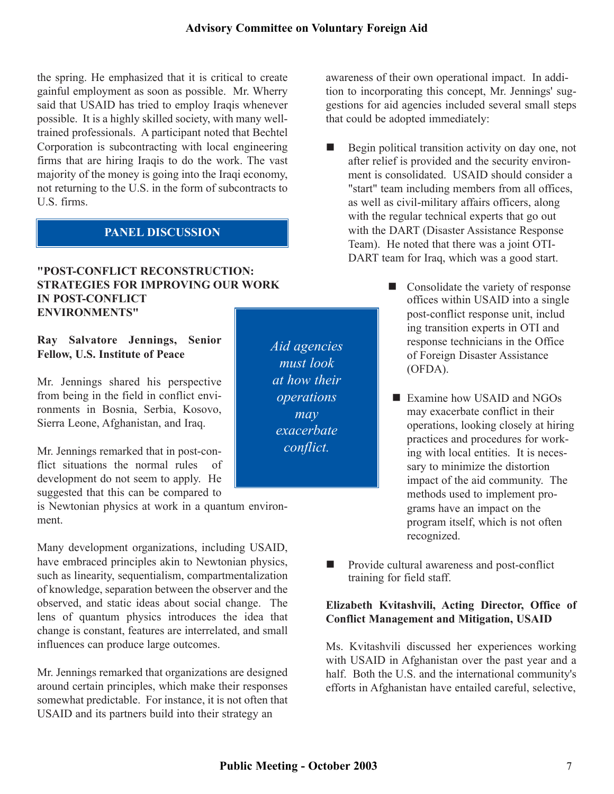the spring. He emphasized that it is critical to create gainful employment as soon as possible. Mr. Wherry said that USAID has tried to employ Iraqis whenever possible. It is a highly skilled society, with many welltrained professionals. A participant noted that Bechtel Corporation is subcontracting with local engineering firms that are hiring Iraqis to do the work. The vast majority of the money is going into the Iraqi economy, not returning to the U.S. in the form of subcontracts to U.S. firms.

### **PANEL DISCUSSION**

#### **"POST-CONFLICT RECONSTRUCTION: STRATEGIES FOR IMPROVING OUR WORK IN POST-CONFLICT ENVIRONMENTS"**

#### **Ray Salvatore Jennings, Senior Fellow, U.S. Institute of Peace**

Mr. Jennings shared his perspective from being in the field in conflict environments in Bosnia, Serbia, Kosovo, Sierra Leone, Afghanistan, and Iraq.

Mr. Jennings remarked that in post-conflict situations the normal rules of development do not seem to apply. He suggested that this can be compared to

is Newtonian physics at work in a quantum environment.

Many development organizations, including USAID, have embraced principles akin to Newtonian physics, such as linearity, sequentialism, compartmentalization of knowledge, separation between the observer and the observed, and static ideas about social change. The lens of quantum physics introduces the idea that change is constant, features are interrelated, and small influences can produce large outcomes.

Mr. Jennings remarked that organizations are designed around certain principles, which make their responses somewhat predictable. For instance, it is not often that USAID and its partners build into their strategy an

*Aid agencies must look at how their operations may exacerbate conflict.* 

awareness of their own operational impact. In addition to incorporating this concept, Mr. Jennings' suggestions for aid agencies included several small steps that could be adopted immediately:

- Begin political transition activity on day one, not after relief is provided and the security environment is consolidated. USAID should consider a "start" team including members from all offices, as well as civil-military affairs officers, along with the regular technical experts that go out with the DART (Disaster Assistance Response Team). He noted that there was a joint OTI-DART team for Iraq, which was a good start.
	- Consolidate the variety of response offices within USAID into a single post-conflict response unit, includ ing transition experts in OTI and response technicians in the Office of Foreign Disaster Assistance (OFDA).
	- Examine how USAID and NGOs may exacerbate conflict in their operations, looking closely at hiring practices and procedures for working with local entities. It is necessary to minimize the distortion impact of the aid community. The methods used to implement programs have an impact on the program itself, which is not often recognized.
- Provide cultural awareness and post-conflict training for field staff.

#### **Elizabeth Kvitashvili, Acting Director, Office of Conflict Management and Mitigation, USAID**

Ms. Kvitashvili discussed her experiences working with USAID in Afghanistan over the past year and a half. Both the U.S. and the international community's efforts in Afghanistan have entailed careful, selective,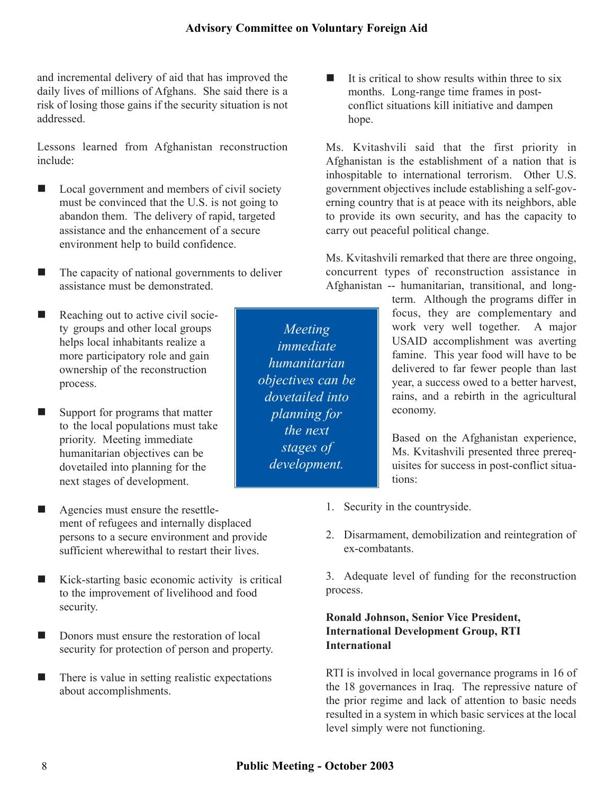*Meeting immediate humanitarian objectives can be dovetailed into planning for the next stages of development.* 

and incremental delivery of aid that has improved the daily lives of millions of Afghans. She said there is a risk of losing those gains if the security situation is not addressed.

Lessons learned from Afghanistan reconstruction include:

- Local government and members of civil society must be convinced that the U.S. is not going to abandon them. The delivery of rapid, targeted assistance and the enhancement of a secure environment help to build confidence.
- The capacity of national governments to deliver assistance must be demonstrated.
- Reaching out to active civil society groups and other local groups helps local inhabitants realize a more participatory role and gain ownership of the reconstruction process.
- Support for programs that matter to the local populations must take priority. Meeting immediate humanitarian objectives can be dovetailed into planning for the next stages of development.
- Agencies must ensure the resettle ment of refugees and internally displaced persons to a secure environment and provide sufficient wherewithal to restart their lives.
- Kick-starting basic economic activity is critical to the improvement of livelihood and food security.
- Donors must ensure the restoration of local security for protection of person and property.
- There is value in setting realistic expectations about accomplishments.

 It is critical to show results within three to six months. Long-range time frames in postconflict situations kill initiative and dampen hope.

Ms. Kvitashvili said that the first priority in Afghanistan is the establishment of a nation that is inhospitable to international terrorism. Other U.S. government objectives include establishing a self-governing country that is at peace with its neighbors, able to provide its own security, and has the capacity to carry out peaceful political change.

Ms. Kvitashvili remarked that there are three ongoing, concurrent types of reconstruction assistance in Afghanistan -- humanitarian, transitional, and long-

term. Although the programs differ in focus, they are complementary and work very well together. A major USAID accomplishment was averting famine. This year food will have to be delivered to far fewer people than last year, a success owed to a better harvest, rains, and a rebirth in the agricultural economy.

Based on the Afghanistan experience, Ms. Kvitashvili presented three prerequisites for success in post-conflict situations:

- 1. Security in the countryside.
- 2. Disarmament, demobilization and reintegration of ex-combatants.

3. Adequate level of funding for the reconstruction process.

#### **Ronald Johnson, Senior Vice President, International Development Group, RTI International**

RTI is involved in local governance programs in 16 of the 18 governances in Iraq. The repressive nature of the prior regime and lack of attention to basic needs resulted in a system in which basic services at the local level simply were not functioning.

8 **Public Meeting - October 2003**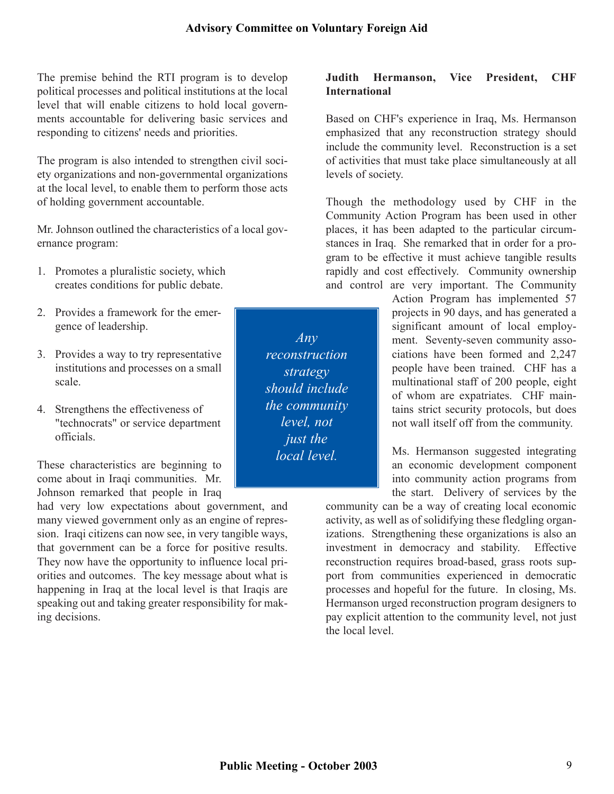The premise behind the RTI program is to develop political processes and political institutions at the local level that will enable citizens to hold local governments accountable for delivering basic services and responding to citizens' needs and priorities.

The program is also intended to strengthen civil society organizations and non-governmental organizations at the local level, to enable them to perform those acts of holding government accountable.

Mr. Johnson outlined the characteristics of a local governance program:

- 1. Promotes a pluralistic society, which creates conditions for public debate.
- 
- 
- officials.

Johnson remarked that people in Iraq

had very low expectations about government, and many viewed government only as an engine of repression. Iraqi citizens can now see, in very tangible ways, that government can be a force for positive results. They now have the opportunity to influence local priorities and outcomes. The key message about what is happening in Iraq at the local level is that Iraqis are speaking out and taking greater responsibility for making decisions.

**Judith Hermanson, Vice President, CHF International** 

Based on CHF's experience in Iraq, Ms. Hermanson emphasized that any reconstruction strategy should include the community level. Reconstruction is a set of activities that must take place simultaneously at all levels of society.

Though the methodology used by CHF in the Community Action Program has been used in other places, it has been adapted to the particular circumstances in Iraq. She remarked that in order for a program to be effective it must achieve tangible results rapidly and cost effectively. Community ownership and control are very important. The Community

Action Program has implemented 57 2. Provides a framework for the emergence of leadership.  $\parallel$  significant amount of local employment. Seventy-seven community asso-3. Provides a way to try representative *reconstruction* ciations have been formed and 2,247 institutions and processes on a small  $\|\cdot\|$  extended. The people have been trained. CHF has a scale. multinational staff of 200 people, eight of whom are expatriates. CHF main-4. Strengthens the effectiveness of  $\parallel$  the community  $\parallel$  tains strict security protocols, but does "technocrats" or service department  $\parallel$  level, not not wall itself off from the community.

Ms. Hermanson suggested integrating These characteristics are beginning to  $\|\cdot\|$  an economic development component come about in Iraqi communities. Mr. **into community action programs** from the start. Delivery of services by the

community can be a way of creating local economic activity, as well as of solidifying these fledgling organizations. Strengthening these organizations is also an investment in democracy and stability. Effective reconstruction requires broad-based, grass roots support from communities experienced in democratic processes and hopeful for the future. In closing, Ms. Hermanson urged reconstruction program designers to pay explicit attention to the community level, not just the local level.

*Any reconstruction strategy should include the community level, not just the local level.*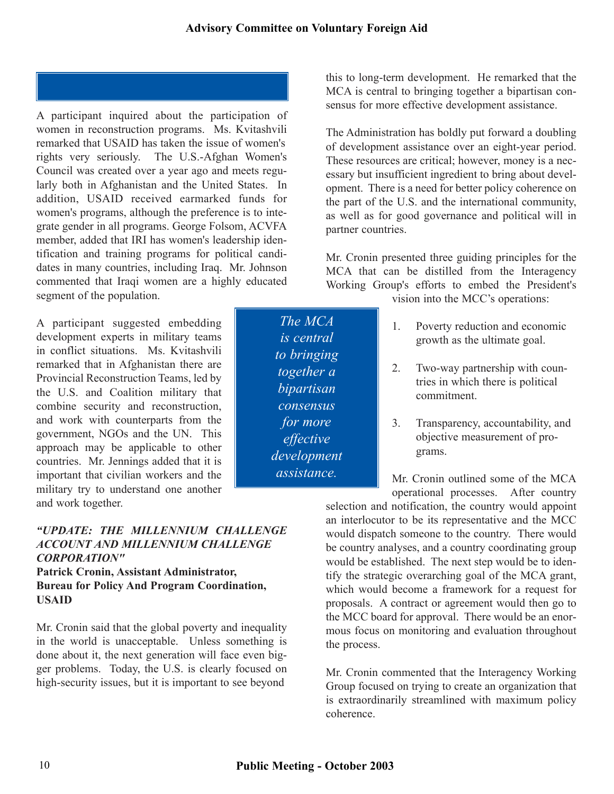*The MCA is central to bringing together a bipartisan consensus for more effective development assistance.* 

A participant inquired about the participation of women in reconstruction programs. Ms. Kvitashvili remarked that USAID has taken the issue of women's rights very seriously. The U.S.-Afghan Women's Council was created over a year ago and meets regularly both in Afghanistan and the United States. In addition, USAID received earmarked funds for women's programs, although the preference is to integrate gender in all programs. George Folsom, ACVFA member, added that IRI has women's leadership identification and training programs for political candidates in many countries, including Iraq. Mr. Johnson commented that Iraqi women are a highly educated segment of the population.  $\overline{v}$  is into the MCC's operations:

A participant suggested embedding development experts in military teams in conflict situations. Ms. Kvitashvili remarked that in Afghanistan there are Provincial Reconstruction Teams, led by the U.S. and Coalition military that combine security and reconstruction, and work with counterparts from the government, NGOs and the UN. This approach may be applicable to other countries. Mr. Jennings added that it is important that civilian workers and the military try to understand one another and work together.

#### *"UPDATE: THE MILLENNIUM CHALLENGE ACCOUNT AND MILLENNIUM CHALLENGE CORPORATION"*

#### **Patrick Cronin, Assistant Administrator, Bureau for Policy And Program Coordination, USAID**

Mr. Cronin said that the global poverty and inequality in the world is unacceptable. Unless something is done about it, the next generation will face even bigger problems. Today, the U.S. is clearly focused on high-security issues, but it is important to see beyond

this to long-term development. He remarked that the MCA is central to bringing together a bipartisan consensus for more effective development assistance.

The Administration has boldly put forward a doubling of development assistance over an eight-year period. These resources are critical; however, money is a necessary but insufficient ingredient to bring about development. There is a need for better policy coherence on the part of the U.S. and the international community, as well as for good governance and political will in partner countries.

Mr. Cronin presented three guiding principles for the MCA that can be distilled from the Interagency Working Group's efforts to embed the President's

- 1. Poverty reduction and economic growth as the ultimate goal.
- 2. Two-way partnership with countries in which there is political commitment.
- 3. Transparency, accountability, and objective measurement of programs.

Mr. Cronin outlined some of the MCA operational processes. After country

selection and notification, the country would appoint an interlocutor to be its representative and the MCC would dispatch someone to the country. There would be country analyses, and a country coordinating group would be established. The next step would be to identify the strategic overarching goal of the MCA grant, which would become a framework for a request for proposals. A contract or agreement would then go to the MCC board for approval. There would be an enormous focus on monitoring and evaluation throughout the process.

Mr. Cronin commented that the Interagency Working Group focused on trying to create an organization that is extraordinarily streamlined with maximum policy coherence.